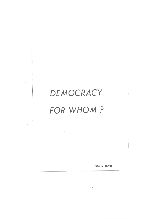# DEMOCRACY FOR WHOM ?

 $\bar{z}$ 

Price 5 cents

 $\bar{R}$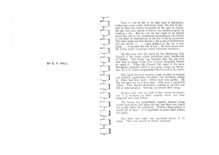BY E. F. HILL

There is a lot of talk in the daily press of democracy. Judges have made public statements about "the rule of law." One of them has spoken favourably of the right to dissent. He said that many people in history had assisted progress by breaking a law. But he said the law ought to be obeyed and it was only in very exceptional circumstances that dissent to the point of disobedience to the law could be permitted. The other judge said that dissent to the point of disobedience<br>was not correct. (".... open defiance of the law is anti-<br>social ... it corrodes the rule of law". He said success over<br>the by-law might encourage similar beha

All this arose over the repeal by the Melbourne City Council of the by-law which prohibited street distribution of leaflets. This by-law was repealed after the big business men in charge of the City Council adamantly refused to repeal it. When the Council did repeal it the press throughout Australia hailed it as a great victory for democracy. Dr. J. F. Cairns congratulated the Council on its action.

The repeal occurred because a large number of workers and students (particularly the latter) had steadfastly defied it. Many had been fined. Others had been gaoled. All this had gone on for a long time. They won a wonderful victory. They showed themselves unafraid of sacrifice and full of determination. Nothing can tarnish their image.

Because such a lot was made of this victory for democracy it is necessary to think carefully about just what happened and what follows.

The by-law was undoubtedly repealed because young people particularly had taken the law into their own hands and openly defied the authorities. Without these actions it would still be there. It is impossible to praise their actions too highly.

But there were other very important factors in its repeal. They, too, should be closely examined.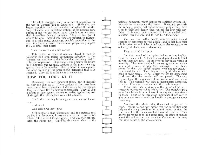The whole strugggle really arose out of opposition to the war in Vietnam and to conscription. Since that war began, opposition to it has mounted throughout the world. Very influential and important sections of big business now oppose it not for any reason other than it does not serve their immediate financial interests. They see too that it cannot be won. Accordingly they are prepared to tolerate, and in a mild sense, encourage, people's opposition to the war. On the other hand, the common people really oppose the war from their hearts.

Their opposition is quite correct.

This section of capitalist opinion played its part in tolerating and even mildly encouraging opposition to the Vietnam war and also to this by-law that was being used to stifle that opposition. Thus quite a while before the by-law in Melbourne was repealed, sections of the press were suggesting that it be repealed. Shortly before it was repealed the same sections of the press openly demanded that it be repealed. They did it in the name of democracy.

## HOW YOU LOOK AT IT

Democracy is a very important thing. But it depends on how you look at it. These sections of the press have never, never been champions of democracy for the people. They have been the champions of repression. They all sing a hymn of hate against workers on strike, against any sort of struggle that affects their own vital interests.

But in this case they became great champions of democracy.

#### And why?

One reason we have given.

Still another is that "democracy" and the pretence that we live in a democracy, is very very important to Australia's rulers. They need it for deception. This way they can preserve the status quo. Capitalist democracy which is the political framework which houses the capitalist system, skilfuly sets out to maintain that system. If you can persuade the ordinary people that those ordinary people really have a say in their own destiny then you can get away with anything. It is much more comfortable for the capitalists to maintain this pretence and to rule by "democracy."

Thus on this matter people who are really violent enemies of democracy for the people (and in fact base their whole system on real violence and not on democracy), came out as great champions of democracy.

#### They repealed the by-law.

**HHHH** 

HHHH

But their repeal of the by-law had no serious implications for thern at all. At least to some degree it simply fitted in with their own ideas. In other words they made virtue of necessity. They were faced with an ever growing campaign in a world climate favoring that campaign. They themselves, for their own selfish reasons, were not too enthusiastic about the war. Thus they made a great "democratic" issue of their repeal. It was a great victory for democracy! It showed that the people's will can prevail! The very argument and the very claims show how unusual such a victory is. This example was used to demonstrate democracy at work. Can you remember âny other such example? If you can, then it is certain that it would, be on <sup>a</sup>

matter as inconsequential as this by-law. The capitalists gave away their by-law because it was of no very great importance to them. Being of no very great importance it was easy to give away and easy to capitalise heavily in propaganda about democracy.

Moreover the whole thing threatened to get out of hand. Failure to give way meant that the authorities were helping the young people to learn, and quickly at that, the real content of the much vaunted democratic system. Their knowledge would soon be passing from the stage of slogans about the archaic laws and even the Vietnam war to query the basic nature of the whole system.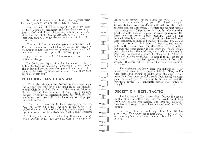Retention of the by-law involved greater potential threat to their system of law and order than its repeal.

**Content** 

 $-265$ 

**NEW YORK** 

You will remember that in repealing the by-law these great champions of democracy said that there were ample laws to deal with litter, obstruction, sedition, defamation, other breaches of the Crimes Act and so on. So even on their own ground these gentlemen were shown to keep their powder drv.

The truth is they are not champions of democracy at all. They are champions of a host of repressive laws; they are champions of force and violence; they are champions of their own wealth and power against the ordinary people.

But they are not fools. They constantly discuss their factics of struggle.

In the by-law dispute, it suited them much better to follow the tactic of bending with the wind. They repealed the by-law and became great champions of democracy. They appeared to make a generous concession. One of them even made a self-criticism.

#### NOTHING HAS CHANGED

If we take this gentleman, Nathan by name, who made the self-criticism (and he is only small fry in the capitalist world) what do we find? He remains the owner of Paterson's Stores and the local nominee of the gigantic Courage brewery. Nothing has changed in that. Is it likely that this gentleman really now believes in democracy for the people? Few will believe it.

Then, too, it was said by these same people that we need not worry too much. As soon as the by-law is repealed the romanticism of disobeying it will disappear and no more leaflets will be distributed. Such is their cynicism!

and indeed throughout the socalled western world) the capitalist class is sorely pressed.

All sorts of struggles of the people are going on: The social system is really falling apart. For the first time in history students on a world-wide scale will not obey their teachers and the authorities. Workers and working people are showing great determination in struggle. On the other hand, the difficulties of the great imperialist powers and the lesser capitalist powers greatly intensify. The U.S. has suffered calamity in Vietnam. The British rulers are in very deep economic, political and military difficulty. France and Italy are in turmoil. So it goes on. Australia, tied particularly to the U.S.A., shares the difficulties of that country. Far from this crisis abating, it is intensifying. Young people particularly reflect this crisis very accurately in their minds. And they do something about it. They rebel. Their rebellion cannot be controlled. It spreads to all sections of the people. It is directed against the evils of the social system. It carries with it the threat of total overthrow of capitalism. (記号形) 人

The capitalists too know their own difficulties. They realise their situation is extremely difficult. They realise that their social system is under acute challenge. They sense that they must carefully study their tactics to withstand the challenge. "It must be borne in mind that the bourgeois parties . . . constantly discuss their tactics of struggle." **北 158** 

 $0 \t 10^{-27} T_1 = 0$ 

 $13 - 15$ 

## **DECEPTION BEST: TACTIC**

The best tactic is that of deception. Deceive the people so that they think they rule, that the people think they really control their own destiny. For centuries this deception has held sway. People have not awakened to the deception.  $577 - 1$  $-11^2$  .

But today they are awakening. Deception still has great sway. Democracy has infinite appeal. The deception of democracy has not yet run its course. It still has a slight reserve.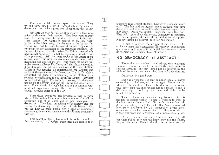Thus our capitalist rulers exploit this reserve. They try to breathe new life into it. Accordingly in the name of democracy they make a great deal of repealing this by-law.

Not only do they do this but they involve in their campaign of deception their reserves. They have been at great pains over many years, to build up Dr. J. F. Cairns as a "left" leader. Dr. Cairns is painted as the key "left" leader in the labor party. In the case of the by-law, Dr. Cairns was used to come forward at various stages of the campaign as the champion of the struggling students. On the eve of the repeal of the by-law, Dr. Cairns ostentatiously had himself "arrested" (in fact he was never arrested: it was all a pretence). Still the press spoke of his arrest; spoke of how serious the situation was when a senior labor parliamentarian was arrested etc. etc. And when the by-law was under severe challenge Dr. Cairns said that those opposed to it must oppose the sitting councillors at the next election. When it was repealed he congratulated the Council and spoke of the great victory for democracy. That is, Dr. Cairns advocated the farce of participating in an election as a solution, or challenging the by-law in the Courts — anything to head off struggle. The truth is, of course, that the young people on the streets, and not Dr. Cairns had won the victory. The methods of struggle had nothing in common with measured arguments through the courts. Victory came though outright defiance of the law.

Then those whom we call revisionists, that is, those who call themselves Communists but who have taken all the revolution out of it, come out as great champions of democracy. They keep on talking of democracy and the victory for democracy in the repeal of this by-law. You can see how all these people sing a song of democracy. Democracy, democracy, democracy and still more democracy. they say.

This repeal of the by-law is not the only triumph of this "democracy". University authorities have relaxed their

repressive rules against students, have given students "more say." The hue and cry against school students who have dared, and still dare, to publish rebellious newspapers have died down. Again the capitalist rulers bend with the wind. They talk again about democracy, democracy ad nauseam.

In our opinion, all this is sheer humbug and deception. Nobody should be deceived by it for one minute.

Its aim is to divert the struggle of the people. The capitalists make little concessions on relatively unimportant questions so as to gain political capital for themselves and to let workers and students "blow off steam."

## NO DEMOCRACY IN ABSTRACT =

The workers and students have had very very important victories (because at heart the capitalists never want to concede anything) but they should not be deceived by the tricks of the enemy over whom they have had their victories.

Democracy is a grand word.

**STANDARD** 

**REMARKS** 

with the

**READPACK** 

**SERVICE** 

**SEDENSE** 

**Siddle** 

and sire

But it is a word that can only be understood as a matter concerning social classes, of class struggle. Democracy for whom? is the question. There is freedom of the press but who other than the monopolists has the means to run a daily newspaper? And any other democratic right can be tested in a similar way.

There is democracy to own a huge factory. There is freedom to exploit workers. There is freedom to work in the factories and be exploited. But in fact where does this democratic right get you? The fact is that Australia is owned lock, stock and barrel by U.S. monopolies, British monopolies and a few local monopolies. It is they who rule. It is they who wage war in Vietnam, who impose conscription.

On any question that really threatens them they call out their police, they use the army, they use the courts, they use the gaols. Even in this they get up to all sorts of